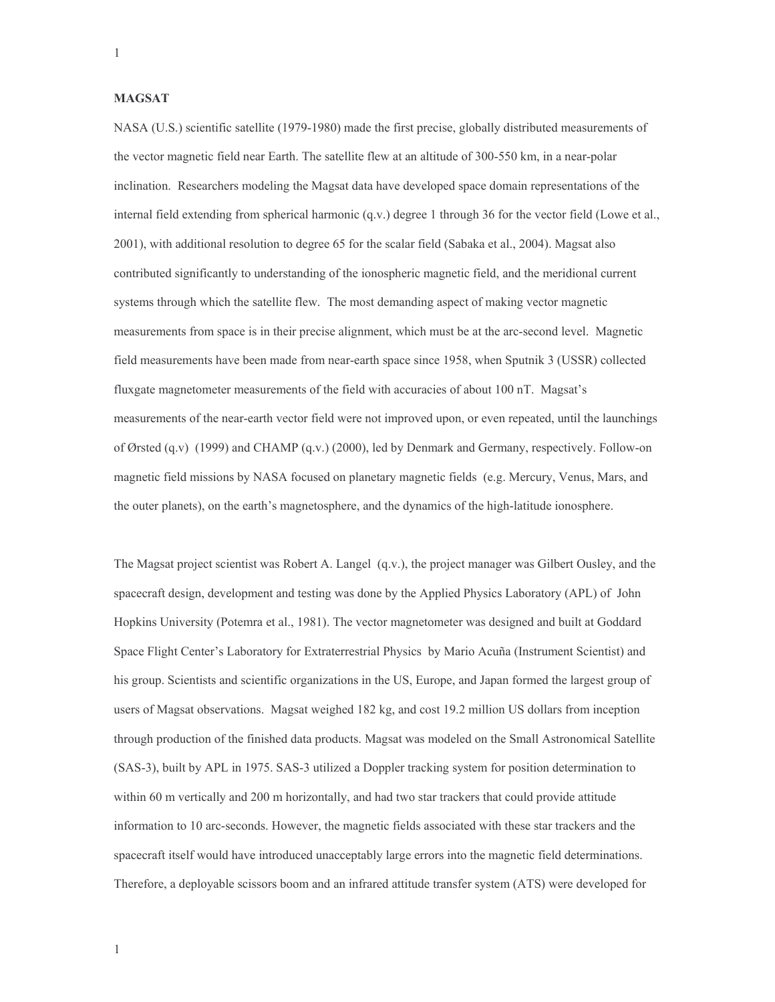## **MAGSAT**

NASA (U.S.) scientific satellite (1979-1980) made the first precise, globally distributed measurements of the vector magnetic field near Earth. The satellite flew at an altitude of 300-550 km, in a near-polar inclination. Researchers modeling the Magsat data have developed space domain representations of the internal field extending from spherical harmonic (q.v.) degree 1 through 36 for the vector field (Lowe et al., 2001), with additional resolution to degree 65 for the scalar field (Sabaka et al., 2004). Magsat also contributed significantly to understanding of the ionospheric magnetic field, and the meridional current systems through which the satellite flew. The most demanding aspect of making vector magnetic measurements from space is in their precise alignment, which must be at the arc-second level. Magnetic field measurements have been made from near-earth space since 1958, when Sputnik 3 (USSR) collected fluxgate magnetometer measurements of the field with accuracies of about 100 nT. Magsat's measurements of the near-earth vector field were not improved upon, or even repeated, until the launchings of Ørsted (q.v) (1999) and CHAMP (q.v.) (2000), led by Denmark and Germany, respectively. Follow-on magnetic field missions by NASA focused on planetary magnetic fields (e.g. Mercury, Venus, Mars, and the outer planets), on the earth's magnetosphere, and the dynamics of the high-latitude ionosphere.

The Magsat project scientist was Robert A. Langel (q.v.), the project manager was Gilbert Ousley, and the spacecraft design, development and testing was done by the Applied Physics Laboratory (APL) of John Hopkins University (Potemra et al., 1981). The vector magnetometer was designed and built at Goddard Space Flight Center's Laboratory for Extraterrestrial Physics by Mario Acuña (Instrument Scientist) and his group. Scientists and scientific organizations in the US, Europe, and Japan formed the largest group of users of Magsat observations. Magsat weighed 182 kg, and cost 19.2 million US dollars from inception through production of the finished data products. Magsat was modeled on the Small Astronomical Satellite (SAS-3), built by APL in 1975. SAS-3 utilized a Doppler tracking system for position determination to within 60 m vertically and 200 m horizontally, and had two star trackers that could provide attitude information to 10 arc-seconds. However, the magnetic fields associated with these star trackers and the spacecraft itself would have introduced unacceptably large errors into the magnetic field determinations. Therefore, a deployable scissors boom and an infrared attitude transfer system (ATS) were developed for

 $\mathbf{1}$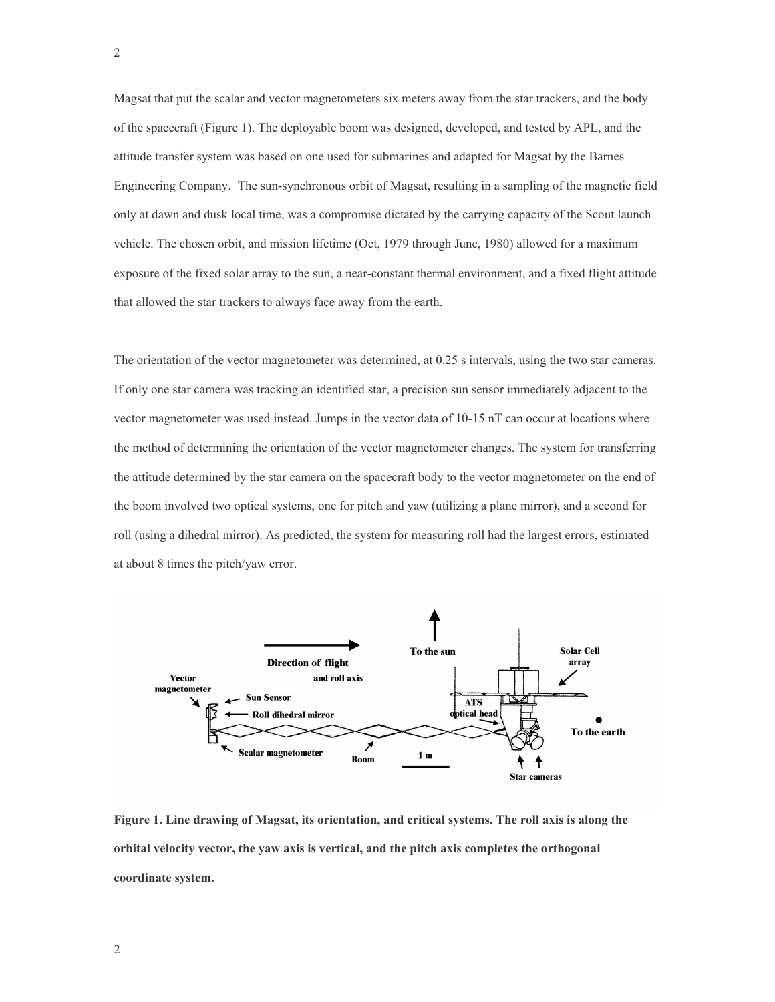Magsat that put the scalar and vector magnetometers six meters away from the star trackers, and the body of the spacecraft (Figure 1). The deployable boom was designed, developed, and tested by APL, and the attitude transfer system was based on one used for submarines and adapted for Magsat by the Barnes Engineering Company. The sun-synchronous orbit of Magsat, resulting in a sampling of the magnetic field only at dawn and dusk local time, was a compromise dictated by the carrying capacity of the Scout launch vehicle. The chosen orbit, and mission lifetime (Oct, 1979 through June, 1980) allowed for a maximum exposure of the fixed solar array to the sun, a near-constant thermal environment, and a fixed flight attitude that allowed the star trackers to always face away from the earth.

The orientation of the vector magnetometer was determined, at 0.25 s intervals, using the two star cameras. If only one star camera was tracking an identified star, a precision sun sensor immediately adjacent to the vector magnetometer was used instead. Jumps in the vector data of 10-15 nT can occur at locations where the method of determining the orientation of the vector magnetometer changes. The system for transferring the attitude determined by the star camera on the spacecraft body to the vector magnetometer on the end of the boom involved two optical systems, one for pitch and yaw (utilizing a plane mirror), and a second for roll (using a dihedral mirror). As predicted, the system for measuring roll had the largest errors, estimated at about 8 times the pitch/yaw error.



Figure 1. Line drawing of Magsat, its orientation, and critical systems. The roll axis is along the orbital velocity vector, the yaw axis is vertical, and the pitch axis completes the orthogonal coordinate system.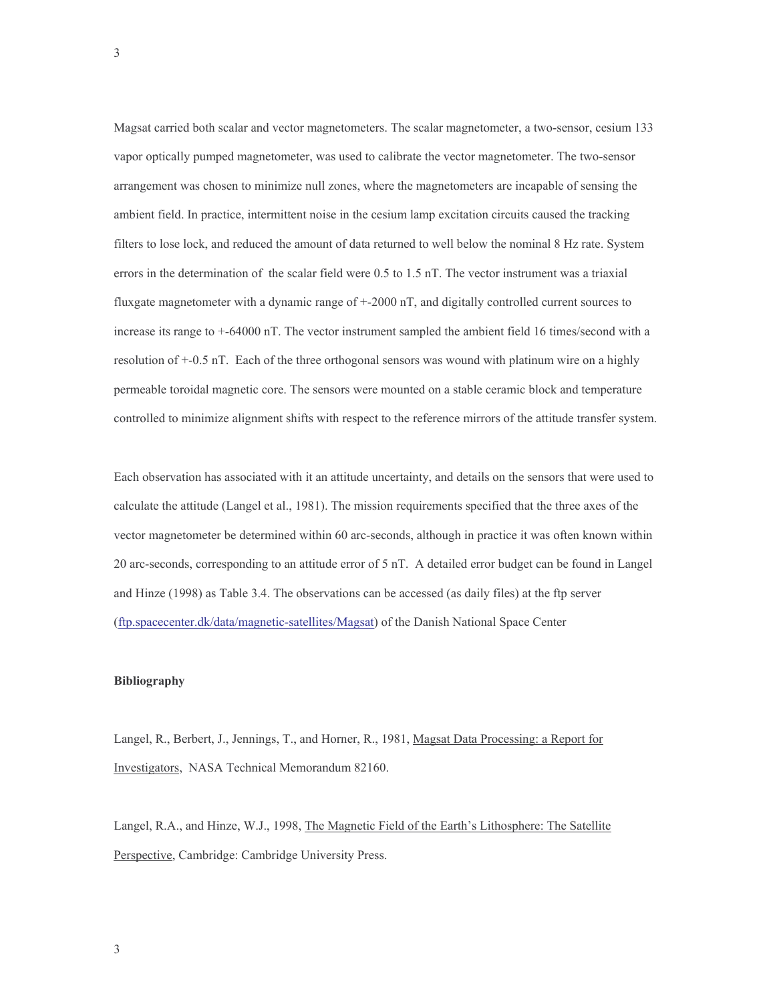Magsat carried both scalar and vector magnetometers. The scalar magnetometer, a two-sensor, cesium 133 vapor optically pumped magnetometer, was used to calibrate the vector magnetometer. The two-sensor arrangement was chosen to minimize null zones, where the magnetometers are incapable of sensing the ambient field. In practice, intermittent noise in the cesium lamp excitation circuits caused the tracking filters to lose lock, and reduced the amount of data returned to well below the nominal 8 Hz rate. System errors in the determination of the scalar field were 0.5 to 1.5 nT. The vector instrument was a triaxial fluxgate magnetometer with a dynamic range of +-2000 nT, and digitally controlled current sources to increase its range to +-64000 nT. The vector instrument sampled the ambient field 16 times/second with a resolution of +-0.5 nT. Each of the three orthogonal sensors was wound with platinum wire on a highly permeable toroidal magnetic core. The sensors were mounted on a stable ceramic block and temperature controlled to minimize alignment shifts with respect to the reference mirrors of the attitude transfer system.

Each observation has associated with it an attitude uncertainty, and details on the sensors that were used to calculate the attitude (Langel et al., 1981). The mission requirements specified that the three axes of the vector magnetometer be determined within 60 arc-seconds, although in practice it was often known within 20 arc-seconds, corresponding to an attitude error of 5 nT. A detailed error budget can be found in Langel and Hinze (1998) as Table 3.4. The observations can be accessed (as daily files) at the ftp server (ftp.spacecenter.dk/data/magnetic-satellites/Magsat) of the Danish National Space Center

## **Bibliography**

Langel, R., Berbert, J., Jennings, T., and Horner, R., 1981, Magsat Data Processing: a Report for Investigators, NASA Technical Memorandum 82160.

Langel, R.A., and Hinze, W.J., 1998, The Magnetic Field of the Earth's Lithosphere: The Satellite Perspective, Cambridge: Cambridge University Press.